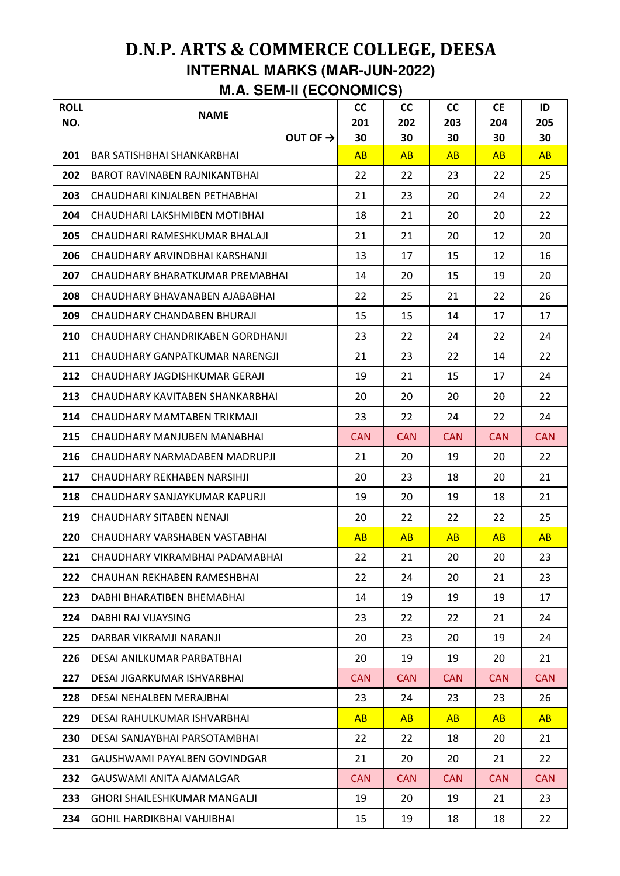## **D.N.P. ARTS & COMMERCE COLLEGE, DEESA INTERNAL MARKS (MAR-JUN-2022) M.A. SEM-II (ECONOMICS)**

| <b>ROLL</b><br>NO. | <b>NAME</b>                          | <b>CC</b><br>201 | <b>CC</b><br>202 | <b>CC</b><br>203 | <b>CE</b><br>204 | ID<br>205  |
|--------------------|--------------------------------------|------------------|------------------|------------------|------------------|------------|
|                    | OUT OF $\rightarrow$                 | 30               | 30               | 30               | 30               | 30         |
| 201                | BAR SATISHBHAI SHANKARBHAI           | AB.              | AB               | AB.              | A <sub>B</sub>   | AB         |
| 202                | <b>BAROT RAVINABEN RAJNIKANTBHAI</b> | 22               | 22               | 23               | 22               | 25         |
| 203                | CHAUDHARI KINJALBEN PETHABHAI        | 21               | 23               | 20               | 24               | 22         |
| 204                | CHAUDHARI LAKSHMIBEN MOTIBHAI        | 18               | 21               | 20               | 20               | 22         |
| 205                | CHAUDHARI RAMESHKUMAR BHALAJI        | 21               | 21               | 20               | 12               | 20         |
| 206                | CHAUDHARY ARVINDBHAI KARSHANJI       | 13               | 17               | 15               | 12               | 16         |
| 207                | CHAUDHARY BHARATKUMAR PREMABHAI      | 14               | 20               | 15               | 19               | 20         |
| 208                | CHAUDHARY BHAVANABEN AJABABHAI       | 22               | 25               | 21               | 22               | 26         |
| 209                | CHAUDHARY CHANDABEN BHURAJI          | 15               | 15               | 14               | 17               | 17         |
| 210                | CHAUDHARY CHANDRIKABEN GORDHANJI     | 23               | 22               | 24               | 22               | 24         |
| 211                | CHAUDHARY GANPATKUMAR NARENGJI       | 21               | 23               | 22               | 14               | 22         |
| 212                | CHAUDHARY JAGDISHKUMAR GERAJI        | 19               | 21               | 15               | 17               | 24         |
| 213                | CHAUDHARY KAVITABEN SHANKARBHAI      | 20               | 20               | 20               | 20               | 22         |
| 214                | CHAUDHARY MAMTABEN TRIKMAJI          | 23               | 22               | 24               | 22               | 24         |
| 215                | CHAUDHARY MANJUBEN MANABHAI          | <b>CAN</b>       | <b>CAN</b>       | <b>CAN</b>       | <b>CAN</b>       | <b>CAN</b> |
| 216                | CHAUDHARY NARMADABEN MADRUPJI        | 21               | 20               | 19               | 20               | 22         |
| 217                | CHAUDHARY REKHABEN NARSIHJI          | 20               | 23               | 18               | 20               | 21         |
| 218                | CHAUDHARY SANJAYKUMAR KAPURJI        | 19               | 20               | 19               | 18               | 21         |
| 219                | CHAUDHARY SITABEN NENAJI             | 20               | 22               | 22               | 22               | 25         |
| 220                | CHAUDHARY VARSHABEN VASTABHAI        | AB               | AB               | AB               | AB               | AB         |
| 221                | CHAUDHARY VIKRAMBHAI PADAMABHAI      | 22               | 21               | 20               | 20               | 23         |
| 222                | CHAUHAN REKHABEN RAMESHBHAI          | 22               | 24               | 20               | 21               | 23         |
| 223                | DABHI BHARATIBEN BHEMABHAI           | 14               | 19               | 19               | 19               | 17         |
| 224                | DABHI RAJ VIJAYSING                  | 23               | 22               | 22               | 21               | 24         |
| 225                | DARBAR VIKRAMJI NARANJI              | 20               | 23               | 20               | 19               | 24         |
| 226                | DESAI ANILKUMAR PARBATBHAI           | 20               | 19               | 19               | 20               | 21         |
| 227                | <b>DESAI JIGARKUMAR ISHVARBHAI</b>   | <b>CAN</b>       | <b>CAN</b>       | <b>CAN</b>       | <b>CAN</b>       | <b>CAN</b> |
| 228                | DESAI NEHALBEN MERAJBHAI             | 23               | 24               | 23               | 23               | 26         |
| 229                | DESAI RAHULKUMAR ISHVARBHAI          | AB               | AB               | AB               | AB               | AB         |
| 230                | DESAI SANJAYBHAI PARSOTAMBHAI        | 22               | 22               | 18               | 20               | 21         |
| 231                | GAUSHWAMI PAYALBEN GOVINDGAR         | 21               | 20               | 20               | 21               | 22         |
| 232                | GAUSWAMI ANITA AJAMALGAR             | <b>CAN</b>       | <b>CAN</b>       | <b>CAN</b>       | <b>CAN</b>       | <b>CAN</b> |
| 233                | GHORI SHAILESHKUMAR MANGALJI         | 19               | 20               | 19               | 21               | 23         |
| 234                | GOHIL HARDIKBHAI VAHJIBHAI           | 15               | 19               | 18               | 18               | 22         |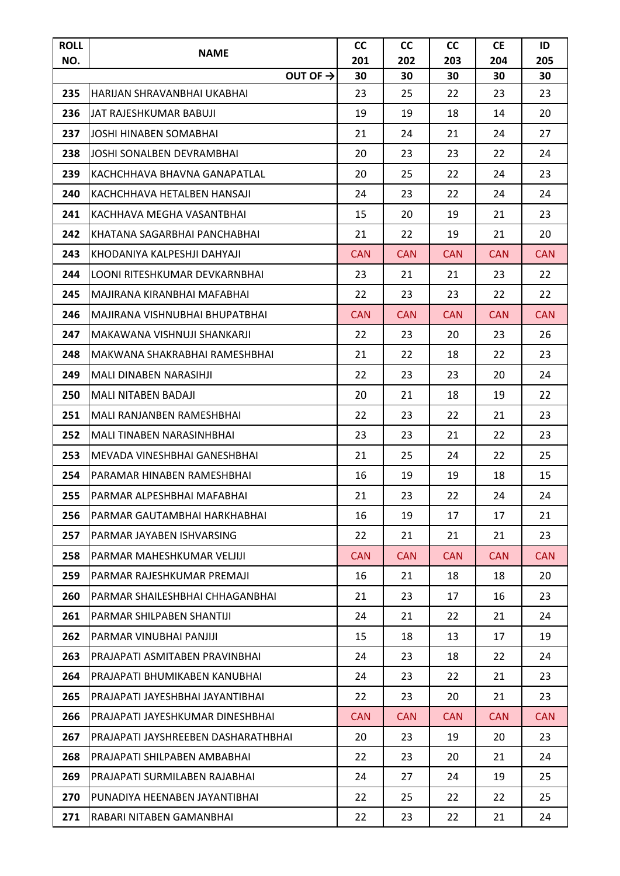| <b>ROLL</b><br>NO. | <b>NAME</b>                         | <b>CC</b><br>201 | cc<br>202  | <b>CC</b><br>203 | <b>CE</b><br>204 | ID<br>205  |
|--------------------|-------------------------------------|------------------|------------|------------------|------------------|------------|
|                    | OUT OF $\rightarrow$                | 30               | 30         | 30               | 30               | 30         |
| 235                | HARIJAN SHRAVANBHAI UKABHAI         | 23               | 25         | 22               | 23               | 23         |
| 236                | JAT RAJESHKUMAR BABUJI              | 19               | 19         | 18               | 14               | 20         |
| 237                | JOSHI HINABEN SOMABHAI              | 21               | 24         | 21               | 24               | 27         |
| 238                | JOSHI SONALBEN DEVRAMBHAI           | 20               | 23         | 23               | 22               | 24         |
| 239                | KACHCHHAVA BHAVNA GANAPATLAL        | 20               | 25         | 22               | 24               | 23         |
| 240                | KACHCHHAVA HETALBEN HANSAJI         | 24               | 23         | 22               | 24               | 24         |
| 241                | KACHHAVA MEGHA VASANTBHAI           | 15               | 20         | 19               | 21               | 23         |
| 242                | KHATANA SAGARBHAI PANCHABHAI        | 21               | 22         | 19               | 21               | 20         |
| 243                | KHODANIYA KALPESHJI DAHYAJI         | <b>CAN</b>       | <b>CAN</b> | <b>CAN</b>       | <b>CAN</b>       | <b>CAN</b> |
| 244                | LOONI RITESHKUMAR DEVKARNBHAI       | 23               | 21         | 21               | 23               | 22         |
| 245                | MAJIRANA KIRANBHAI MAFABHAI         | 22               | 23         | 23               | 22               | 22         |
| 246                | MAJIRANA VISHNUBHAI BHUPATBHAI      | <b>CAN</b>       | <b>CAN</b> | <b>CAN</b>       | <b>CAN</b>       | <b>CAN</b> |
| 247                | MAKAWANA VISHNUJI SHANKARJI         | 22               | 23         | 20               | 23               | 26         |
| 248                | MAKWANA SHAKRABHAI RAMESHBHAI       | 21               | 22         | 18               | 22               | 23         |
| 249                | MALI DINABEN NARASIHJI              | 22               | 23         | 23               | 20               | 24         |
| 250                | MALI NITABEN BADAJI                 | 20               | 21         | 18               | 19               | 22         |
| 251                | MALI RANJANBEN RAMESHBHAI           | 22               | 23         | 22               | 21               | 23         |
| 252                | MALI TINABEN NARASINHBHAI           | 23               | 23         | 21               | 22               | 23         |
| 253                | MEVADA VINESHBHAI GANESHBHAI        | 21               | 25         | 24               | 22               | 25         |
| 254                | PARAMAR HINABEN RAMESHBHAI          | 16               | 19         | 19               | 18               | 15         |
| 255                | PARMAR ALPESHBHAI MAFABHAI          | 21               | 23         | 22               | 24               | 24         |
| 256                | PARMAR GAUTAMBHAI HARKHABHAI        | 16               | 19         | 17               | 17               | 21         |
| 257                | PARMAR JAYABEN ISHVARSING           | 22               | 21         | 21               | 21               | 23         |
| 258                | PARMAR MAHESHKUMAR VELJIJI          | <b>CAN</b>       | <b>CAN</b> | <b>CAN</b>       | <b>CAN</b>       | <b>CAN</b> |
| 259                | PARMAR RAJESHKUMAR PREMAJI          | 16               | 21         | 18               | 18               | 20         |
| 260                | PARMAR SHAILESHBHAI CHHAGANBHAI     | 21               | 23         | 17               | 16               | 23         |
| 261                | PARMAR SHILPABEN SHANTIJI           | 24               | 21         | 22               | 21               | 24         |
| 262                | PARMAR VINUBHAI PANJIJI             | 15               | 18         | 13               | 17               | 19         |
| 263                | PRAJAPATI ASMITABEN PRAVINBHAI      | 24               | 23         | 18               | 22               | 24         |
| 264                | PRAJAPATI BHUMIKABEN KANUBHAI       | 24               | 23         | 22               | 21               | 23         |
| 265                | PRAJAPATI JAYESHBHAI JAYANTIBHAI    | 22               | 23         | 20               | 21               | 23         |
| 266                | PRAJAPATI JAYESHKUMAR DINESHBHAI    | <b>CAN</b>       | <b>CAN</b> | <b>CAN</b>       | <b>CAN</b>       | <b>CAN</b> |
| 267                | PRAJAPATI JAYSHREEBEN DASHARATHBHAI | 20               | 23         | 19               | 20               | 23         |
| 268                | PRAJAPATI SHILPABEN AMBABHAI        | 22               | 23         | 20               | 21               | 24         |
| 269                | PRAJAPATI SURMILABEN RAJABHAI       | 24               | 27         | 24               | 19               | 25         |
| 270                | PUNADIYA HEENABEN JAYANTIBHAI       | 22               | 25         | 22               | 22               | 25         |
| 271                | RABARI NITABEN GAMANBHAI            | 22               | 23         | 22               | 21               | 24         |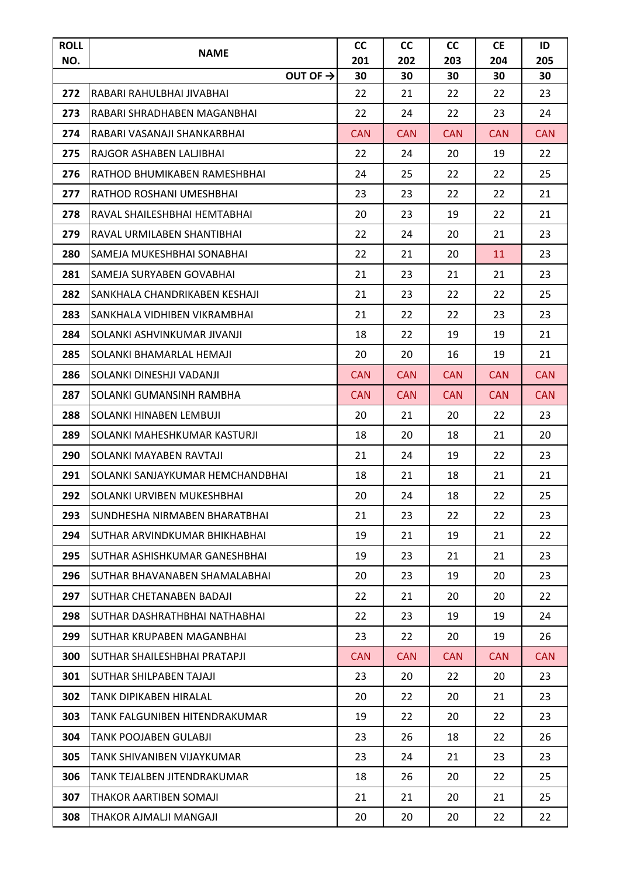| <b>ROLL</b><br>NO. | <b>NAME</b>                         | <b>CC</b><br>201 | cc<br>202  | <b>CC</b><br>203 | <b>CE</b><br>204 | ID<br>205  |
|--------------------|-------------------------------------|------------------|------------|------------------|------------------|------------|
|                    | OUT OF $\rightarrow$                | 30               | 30         | 30               | 30               | 30         |
| 272                | RABARI RAHULBHAI JIVABHAI           | 22               | 21         | 22               | 22               | 23         |
| 273                | RABARI SHRADHABEN MAGANBHAI         | 22               | 24         | 22               | 23               | 24         |
| 274                | RABARI VASANAJI SHANKARBHAI         | <b>CAN</b>       | <b>CAN</b> | <b>CAN</b>       | <b>CAN</b>       | <b>CAN</b> |
| 275                | RAJGOR ASHABEN LALJIBHAI            | 22               | 24         | 20               | 19               | 22         |
| 276                | RATHOD BHUMIKABEN RAMESHBHAI        | 24               | 25         | 22               | 22               | 25         |
| 277                | RATHOD ROSHANI UMESHBHAI            | 23               | 23         | 22               | 22               | 21         |
| 278                | RAVAL SHAILESHBHAI HEMTABHAI        | 20               | 23         | 19               | 22               | 21         |
| 279                | RAVAL URMILABEN SHANTIBHAI          | 22               | 24         | 20               | 21               | 23         |
| 280                | SAMEJA MUKESHBHAI SONABHAI          | 22               | 21         | 20               | 11               | 23         |
| 281                | SAMEJA SURYABEN GOVABHAI            | 21               | 23         | 21               | 21               | 23         |
| 282                | SANKHALA CHANDRIKABEN KESHAJI       | 21               | 23         | 22               | 22               | 25         |
| 283                | SANKHALA VIDHIBEN VIKRAMBHAI        | 21               | 22         | 22               | 23               | 23         |
| 284                | SOLANKI ASHVINKUMAR JIVANJI         | 18               | 22         | 19               | 19               | 21         |
| 285                | SOLANKI BHAMARLAL HEMAJI            | 20               | 20         | 16               | 19               | 21         |
| 286                | SOLANKI DINESHJI VADANJI            | CAN              | <b>CAN</b> | <b>CAN</b>       | <b>CAN</b>       | <b>CAN</b> |
| 287                | SOLANKI GUMANSINH RAMBHA            | <b>CAN</b>       | <b>CAN</b> | <b>CAN</b>       | <b>CAN</b>       | <b>CAN</b> |
| 288                | SOLANKI HINABEN LEMBUJI             | 20               | 21         | 20               | 22               | 23         |
| 289                | SOLANKI MAHESHKUMAR KASTURJI        | 18               | 20         | 18               | 21               | 20         |
| 290                | SOLANKI MAYABEN RAVTAJI             | 21               | 24         | 19               | 22               | 23         |
| 291                | SOLANKI SANJAYKUMAR HEMCHANDBHAI    | 18               | 21         | 18               | 21               | 21         |
| 292                | SOLANKI URVIBEN MUKESHBHAI          | 20               | 24         | 18               | 22               | 25         |
| 293                | SUNDHESHA NIRMABEN BHARATBHAI       | 21               | 23         | 22               | 22               | 23         |
| 294                | ISUTHAR ARVINDKUMAR BHIKHABHAI      | 19               | 21         | 19               | 21               | 22         |
| 295                | SUTHAR ASHISHKUMAR GANESHBHAI       | 19               | 23         | 21               | 21               | 23         |
| 296                | ISUTHAR BHAVANABEN SHAMALABHAI      | 20               | 23         | 19               | 20               | 23         |
| 297                | <b>SUTHAR CHETANABEN BADAJI</b>     | 22               | 21         | 20               | 20               | 22         |
| 298                | SUTHAR DASHRATHBHAI NATHABHAI       | 22               | 23         | 19               | 19               | 24         |
| 299                | SUTHAR KRUPABEN MAGANBHAI           | 23               | 22         | 20               | 19               | 26         |
| 300                | <b>SUTHAR SHAILESHBHAI PRATAPJI</b> | <b>CAN</b>       | <b>CAN</b> | <b>CAN</b>       | <b>CAN</b>       | <b>CAN</b> |
| 301                | SUTHAR SHILPABEN TAJAJI             | 23               | 20         | 22               | 20               | 23         |
| 302                | TANK DIPIKABEN HIRALAL              | 20               | 22         | 20               | 21               | 23         |
| 303                | TANK FALGUNIBEN HITENDRAKUMAR       | 19               | 22         | 20               | 22               | 23         |
| 304                | TANK POOJABEN GULABJI               | 23               | 26         | 18               | 22               | 26         |
| 305                | TANK SHIVANIBEN VIJAYKUMAR          | 23               | 24         | 21               | 23               | 23         |
| 306                | TANK TEJALBEN JITENDRAKUMAR         | 18               | 26         | 20               | 22               | 25         |
| 307                | THAKOR AARTIBEN SOMAJI              | 21               | 21         | 20               | 21               | 25         |
| 308                | ITHAKOR AJMALJI MANGAJI             | 20               | 20         | 20               | 22               | 22         |